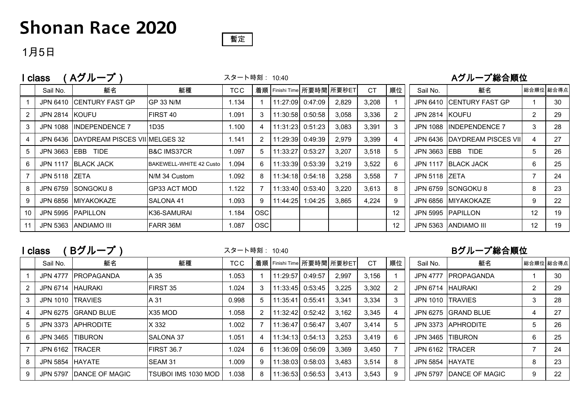## **Shonan Race 2020**

### 暫定

**Contract** 

### 1月5日

|    | Aグループ)<br>class      | スタート時刻: 10:40                          |                         |       |            |          | Aグループ総合順位               |       |           |    |                 |                               |           |    |
|----|----------------------|----------------------------------------|-------------------------|-------|------------|----------|-------------------------|-------|-----------|----|-----------------|-------------------------------|-----------|----|
|    | Sail No.             | 艇名                                     | 艇種                      | TC C  | 着順         |          | Finishi Time 所要時間 所要秒ET |       | <b>CT</b> | 順位 | Sail No.        | 艇名                            | 総合順位 総合得点 |    |
|    |                      | JPN 6410 CENTURY FAST GP               | GP 33 N/M               | 1.134 |            | 11:27:09 | 0:47:09                 | 2,829 | 3,208     |    |                 | JPN 6410 CENTURY FAST GP      |           | 30 |
| 2  | JPN 2814 KOUFU       |                                        | FIRST 40                | 1.091 | 3          | 11:30:58 | 0:50:58                 | 3,058 | 3,336     | 2  | JPN 2814 KOUFU  |                               | 2         | 29 |
| 3  | <b>JPN 1088</b>      | <b>IINDEPENDENCE 7</b>                 | 1D35                    | 1.100 |            | 11:31:23 | 0:51:23                 | 3,083 | 3,391     | 3  | <b>JPN 1088</b> | <b>INDEPENDENCE 7</b>         | 3         | 28 |
| 4  |                      | JPN 6436 DAYDREAM PISCES VIIIMELGES 32 |                         | 1.141 | 2          | 11:29:39 | 0:49:39                 | 2,979 | 3,399     | 4  |                 | JPN 6436 DAYDREAM PISCES VIII | 4         | 27 |
| 5  | <b>JPN 3663 IEBB</b> | <b>TIDE</b>                            | <b>B&amp;C IMS37CR</b>  | 1.097 | 5          | 11:33:27 | 0:53:27                 | 3,207 | 3,518     | 5  | <b>JPN 3663</b> | EBB TIDE                      | 5         | 26 |
| 6  |                      | JPN 1117 IBLACK JACK                   | BAKEWELL-WHITE 42 Custo | 1.094 | 6          | 11:33:39 | 0:53:39                 | 3,219 | 3,522     | 6  | <b>JPN 1117</b> | <b>IBLACK JACK</b>            | 6         | 25 |
|    | JPN 5118 IZETA       |                                        | N/M 34 Custom           | 1.092 | 8          | 11:34:18 | 0:54:18                 | 3,258 | 3,558     |    | JPN 5118 ZETA   |                               | 7         | 24 |
| 8  |                      | JPN 6759 SONGOKU 8                     | GP33 ACT MOD            | 1.122 |            | 11:33:40 | 0:53:40                 | 3,220 | 3,613     | 8  |                 | JPN 6759 SONGOKU 8            | 8         | 23 |
| 9  |                      | JPN 6856 MIYAKOKAZE                    | SALONA 41               | 1.093 | 9          | 11:44:25 | 1:04:25                 | 3,865 | 4,224     | 9  | <b>JPN 6856</b> | <b>MIYAKOKAZE</b>             | 9         | 22 |
| 10 |                      | JPN 5995 PAPILLON                      | K36-SAMURAI             | 1.184 | <b>OSC</b> |          |                         |       |           | 12 |                 | <b>JPN 5995 PAPILLON</b>      | 12        | 19 |
| 11 | JPN 5363             | <b>ANDIAMO III</b>                     | FARR 36M                | 1.087 | <b>OSC</b> |          |                         |       |           | 12 | <b>JPN 5363</b> | <b>ANDIAMO III</b>            | 12        | 19 |

## I class (Bグループ)

スタート時刻: 10:40

#### Bグループ総合順位

المتاريخ والمرابط

|   | Sail No.         | 艇名                      | 艇種                     | TCC.  |    | 着順   Finishi Time   所要時間   所要秒ET |                  |       | <b>CT</b> | 順位 | Sail No.         | 艇名                      | 総合順位 総合得点 |    |
|---|------------------|-------------------------|------------------------|-------|----|----------------------------------|------------------|-------|-----------|----|------------------|-------------------------|-----------|----|
|   |                  | JPN 4777   PROPAGANDA   | A 35                   | 1.053 |    | 11:29:57                         | 0:49:57          | 2,997 | 3,156     |    |                  | JPN 4777 IPROPAGANDA    |           | 30 |
|   | JPN 6714 HAURAKI |                         | FIRST 35               | 1.024 | 3  | 11:33:45 0:53:45                 |                  | 3,225 | 3,302     |    |                  | JPN 6714 HAURAKI        |           | 29 |
| 3 | JPN 1010 TRAVIES |                         | A 31                   | 0.998 |    | 11:35:41                         | 0:55:41          | 3,341 | 3,334     | 3  | JPN 1010 TRAVIES |                         |           | 28 |
| 4 |                  | JPN 6275 GRAND BLUE     | X35 MOD                | 1.058 |    | 11:32:42 0:52:42                 |                  | 3,162 | 3,345     | 4  |                  | JPN 6275 GRAND BLUE     |           | 27 |
| 5 |                  | JPN 3373 APHRODITE      | X 332                  | 1.002 |    | 11:36:47                         | 0:56:47          | 3,407 | 3,414     | 5  |                  | JPN 3373 APHRODITE      | 5         | 26 |
| 6 | JPN 3465 TIBURON |                         | <b>SALONA 37</b>       | 1.051 |    | 11:34:13 0:54:13                 |                  | 3,253 | 3,419     | 6  |                  | JPN 3465 TIBURON        | 6         | 25 |
|   | JPN 6162 TRACER  |                         | FIRST 36.7             | 1.024 | 6. | 11:36:09 0:56:09                 |                  | 3,369 | 3,450     |    | JPN 6162 TRACER  |                         |           | 24 |
| 8 | JPN 5854 HAYATE  |                         | SEAM 31                | 1.009 | 9. | 11:38:03 0:58:03                 |                  | 3,483 | 3,514     | 8  | JPN 5854 HAYATE  |                         | 8         | 23 |
| 9 |                  | JPN 5797 DANCE OF MAGIC | ITSUBOI IMS 1030 MOD I | 1.038 | 8  |                                  | 11:36:53 0:56:53 | 3,413 | 3,543     |    |                  | JPN 5797 DANCE OF MAGIC | 9         | 22 |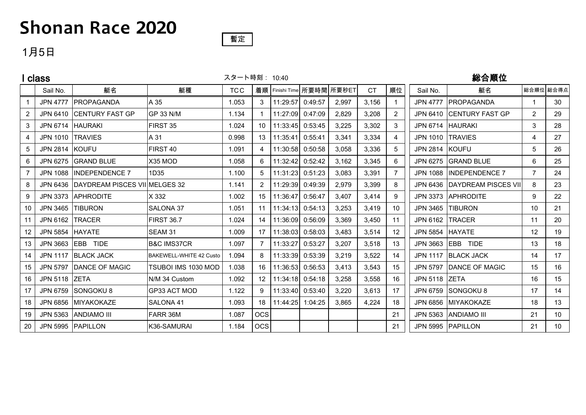# **Shonan Race 2020**

## 1月5日

|                 | I class          |                                        | スタート時刻: 10:40           |            |            |                                  |         | 総合順位  |           |                 |                  |                              |                |                 |
|-----------------|------------------|----------------------------------------|-------------------------|------------|------------|----------------------------------|---------|-------|-----------|-----------------|------------------|------------------------------|----------------|-----------------|
|                 | Sail No.         | 艇名                                     | 艇種                      | <b>TCC</b> |            | 着順   Finishi Time   所要時間   所要秒ET |         |       | <b>CT</b> | 順位              | Sail No.         | 艇名                           | 総合順位 総合得点      |                 |
|                 | <b>JPN 4777</b>  | <b>IPROPAGANDA</b>                     | A 35                    | 1.053      | 3          | 11:29:57                         | 0:49:57 | 2.997 | 3.156     |                 | JPN 4777         | <b>IPROPAGANDA</b>           | -1             | 30              |
| $\overline{2}$  |                  | JPN 6410 CENTURY FAST GP               | <b>GP 33 N/M</b>        | 1.134      |            | 11:27:09                         | 0:47:09 | 2.829 | 3.208     | $\overline{2}$  |                  | JPN 6410 CENTURY FAST GP     | 2              | 29              |
| 3               | JPN 6714 HAURAKI |                                        | FIRST 35                | 1.024      | 10         | 11:33:45                         | 0:53:45 | 3,225 | 3,302     | 3               |                  | JPN 6714   HAURAKI           | 3              | 28              |
| 4               | JPN 1010 TRAVIES |                                        | A 31                    | 0.998      | 13         | 11:35:41                         | 0:55:41 | 3,341 | 3.334     | 4               | JPN 1010 TRAVIES |                              | 4              | 27              |
| 5               | JPN 2814 KOUFU   |                                        | FIRST 40                | 1.091      | 4          | 11:30:58                         | 0:50:58 | 3,058 | 3,336     |                 | JPN 2814 KOUFU   |                              | 5              | 26              |
| 6               |                  | JPN 6275 GRAND BLUE                    | X35 MOD                 | 1.058      | 6          | 11:32:42                         | 0:52:42 | 3.162 | 3,345     | 6.              |                  | JPN 6275 GRAND BLUE          | 6              | 25              |
| $\overline{7}$  |                  | JPN 1088  INDEPENDENCE 7               | 1D35                    | 1.100      | 5          | 11:31:23                         | 0:51:23 | 3.083 | 3,391     |                 |                  | JPN 1088  INDEPENDENCE 7     | $\overline{7}$ | 24              |
| 8               |                  | JPN 6436 DAYDREAM PISCES VII MELGES 32 |                         | 1.141      |            | 11:29:39                         | 0:49:39 | 2,979 | 3,399     | 8               |                  | JPN 6436 DAYDREAM PISCES VII | 8              | 23              |
| 9               |                  | JPN 3373 APHRODITE                     | X 332                   | 1.002      | 15         | 11:36:47                         | 0:56:47 | 3,407 | 3,414     | 9               |                  | JPN 3373 APHRODITE           | 9              | 22              |
| 10              | JPN 3465 TIBURON |                                        | SALONA 37               | 1.051      | 11         | 11:34:13                         | 0:54:13 | 3.253 | 3.419     | 10              | <b>JPN 3465</b>  | <b>ITIBURON</b>              | 10             | 21              |
| 11              | JPN 6162 TRACER  |                                        | <b>FIRST 36.7</b>       | 1.024      | 14         | 11:36:09                         | 0:56:09 | 3.369 | 3,450     | 11              | JPN 6162         | <b>ITRACER</b>               | 11             | 20              |
| 12 <sup>°</sup> | <b>JPN 5854</b>  | <b>HAYATE</b>                          | SEAM 31                 | 1.009      | 17         | 11:38:03                         | 0:58:03 | 3,483 | 3,514     | 12 <sup>2</sup> | JPN 5854 HAYATE  |                              | 12             | 19              |
| 13              |                  | JPN 3663 EBB TIDE                      | <b>B&amp;C IMS37CR</b>  | 1.097      | 7          | 11:33:27                         | 0:53:27 | 3.207 | 3.518     | 13              |                  | JPN 3663 EBB TIDE            | 13             | 18              |
| 14              |                  | JPN 1117 BLACK JACK                    | BAKEWELL-WHITE 42 Custo | 1.094      | 8          | 11:33:39                         | 0:53:39 | 3,219 | 3,522     | 14              |                  | JPN 1117 BLACK JACK          | 14             | 17              |
| 15              |                  | JPN 5797 DANCE OF MAGIC                | TSUBOI IMS 1030 MOD     | 1.038      | 16         | 11:36:53                         | 0:56:53 | 3,413 | 3.543     | 15              | <b>JPN 5797</b>  | DANCE OF MAGIC               | 15             | 16              |
| 16              | JPN 5118 ZETA    |                                        | N/M 34 Custom           | 1.092      | 12         | 11:34:18                         | 0:54:18 | 3,258 | 3,558     | 16              | JPN 5118 ZETA    |                              | 16             | 15              |
| 17              |                  | JPN 6759 SONGOKU 8                     | GP33 ACT MOD            | 1.122      | 9          | 11:33:40                         | 0:53:40 | 3,220 | 3,613     | 17              |                  | JPN 6759 SONGOKU 8           | 17             | 14              |
| 18              |                  | JPN 6856 MIYAKOKAZE                    | SALONA 41               | 1.093      | 18         | 11:44:25                         | 1:04:25 | 3,865 | 4,224     | 18              | <b>JPN 6856</b>  | MIYAKOKAZE                   | 18             | 13              |
| 19              |                  | JPN 5363 ANDIAMO III                   | FARR 36M                | 1.087      | <b>OCS</b> |                                  |         |       |           | 21              | JPN 5363         | <b>ANDIAMO III</b>           | 21             | 10              |
| 20              |                  | JPN 5995 PAPILLON                      | K36-SAMURAI             | 1.184      | <b>OCS</b> |                                  |         |       |           | 21              |                  | JPN 5995 PAPILLON            | 21             | 10 <sup>°</sup> |

暫定